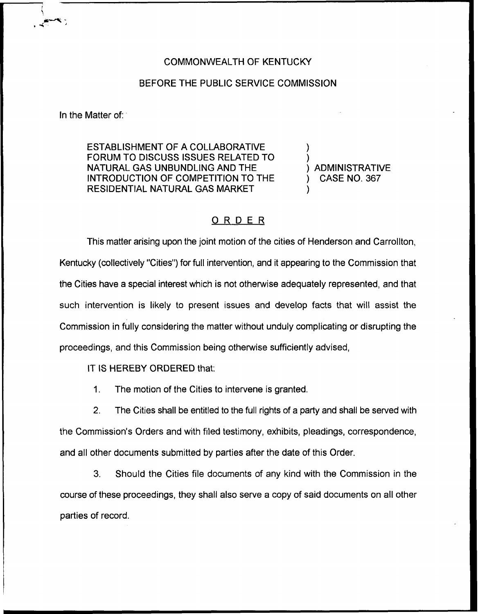## COMMONWEALTH OF KENTUCKY

## BEFORE THE PUBLIC SERVICE COMMISSION

In the Matter of:

ESTABLISHMENT OF A COLLABORATIVE FORUM TO DISCUSS ISSUES RELATED TO NATURAL GAS UNBUNDLING AND THE INTRODUCTION OF COMPETITION TO THE RESIDENTIAL NATURAL GAS MARKET

) ADMINISTRATIVE ) CASE NO. 367

) )

)

## ORDER

This matter arising upon the joint motion of the cities of Henderson and Carrollton, Kentucky (collectively "Cities") for full intervention, and it appearing to the Commission tha the Cities have a special interest which is not otherwise adequately represented, and that such intervention is likely to present issues and develop facts that will assist the Commission in fully considering the matter without unduly complicating or disrupting the proceedings, and this Commission being otherwise sufficiently advised,

IT IS HEREBY ORDERED that:

1. The motion of the Cities to intervene is granted.

2. The Cities shall be entitled to the full rights of a party and shall be served with the Commission's Orders and with filed testimony, exhibits, pleadings, correspondence, and all other documents submitted by parties after the date of this Order.

3. Should the Cities file documents of any kind with the Commission in the course of these proceedings, they shall also serve a copy of said documents on all other parties of record.